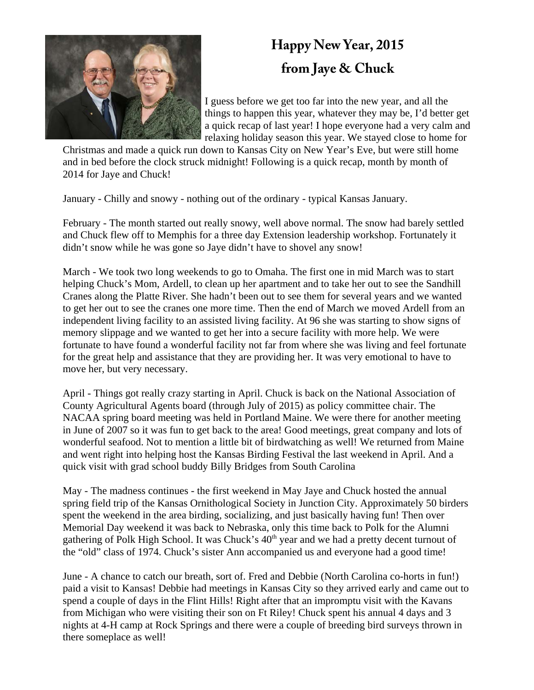

## **Happy New Year, 2015 from Jaye & Chuck**

I guess before we get too far into the new year, and all the things to happen this year, whatever they may be, I'd better get a quick recap of last year! I hope everyone had a very calm and relaxing holiday season this year. We stayed close to home for

Christmas and made a quick run down to Kansas City on New Year's Eve, but were still home and in bed before the clock struck midnight! Following is a quick recap, month by month of 2014 for Jaye and Chuck!

January - Chilly and snowy - nothing out of the ordinary - typical Kansas January.

February - The month started out really snowy, well above normal. The snow had barely settled and Chuck flew off to Memphis for a three day Extension leadership workshop. Fortunately it didn't snow while he was gone so Jaye didn't have to shovel any snow!

March - We took two long weekends to go to Omaha. The first one in mid March was to start helping Chuck's Mom, Ardell, to clean up her apartment and to take her out to see the Sandhill Cranes along the Platte River. She hadn't been out to see them for several years and we wanted to get her out to see the cranes one more time. Then the end of March we moved Ardell from an independent living facility to an assisted living facility. At 96 she was starting to show signs of memory slippage and we wanted to get her into a secure facility with more help. We were fortunate to have found a wonderful facility not far from where she was living and feel fortunate for the great help and assistance that they are providing her. It was very emotional to have to move her, but very necessary.

April - Things got really crazy starting in April. Chuck is back on the National Association of County Agricultural Agents board (through July of 2015) as policy committee chair. The NACAA spring board meeting was held in Portland Maine. We were there for another meeting in June of 2007 so it was fun to get back to the area! Good meetings, great company and lots of wonderful seafood. Not to mention a little bit of birdwatching as well! We returned from Maine and went right into helping host the Kansas Birding Festival the last weekend in April. And a quick visit with grad school buddy Billy Bridges from South Carolina

May - The madness continues - the first weekend in May Jaye and Chuck hosted the annual spring field trip of the Kansas Ornithological Society in Junction City. Approximately 50 birders spent the weekend in the area birding, socializing, and just basically having fun! Then over Memorial Day weekend it was back to Nebraska, only this time back to Polk for the Alumni gathering of Polk High School. It was Chuck's  $40<sup>th</sup>$  year and we had a pretty decent turnout of the "old" class of 1974. Chuck's sister Ann accompanied us and everyone had a good time!

June - A chance to catch our breath, sort of. Fred and Debbie (North Carolina co-horts in fun!) paid a visit to Kansas! Debbie had meetings in Kansas City so they arrived early and came out to spend a couple of days in the Flint Hills! Right after that an impromptu visit with the Kavans from Michigan who were visiting their son on Ft Riley! Chuck spent his annual 4 days and 3 nights at 4-H camp at Rock Springs and there were a couple of breeding bird surveys thrown in there someplace as well!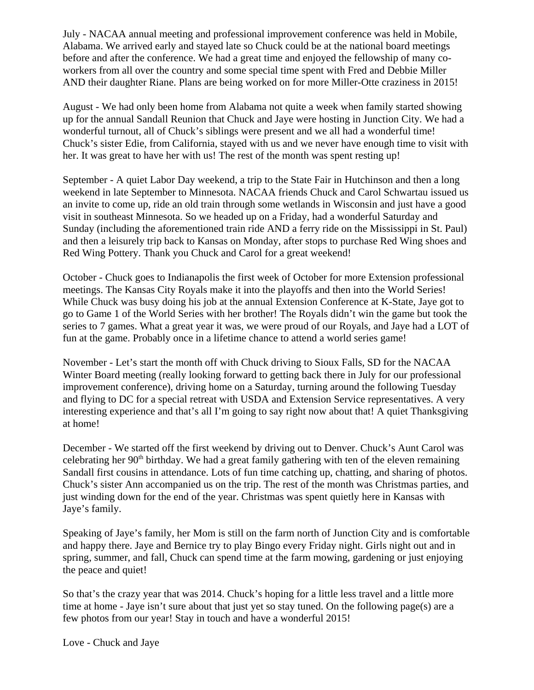July - NACAA annual meeting and professional improvement conference was held in Mobile, Alabama. We arrived early and stayed late so Chuck could be at the national board meetings before and after the conference. We had a great time and enjoyed the fellowship of many coworkers from all over the country and some special time spent with Fred and Debbie Miller AND their daughter Riane. Plans are being worked on for more Miller-Otte craziness in 2015!

August - We had only been home from Alabama not quite a week when family started showing up for the annual Sandall Reunion that Chuck and Jaye were hosting in Junction City. We had a wonderful turnout, all of Chuck's siblings were present and we all had a wonderful time! Chuck's sister Edie, from California, stayed with us and we never have enough time to visit with her. It was great to have her with us! The rest of the month was spent resting up!

September - A quiet Labor Day weekend, a trip to the State Fair in Hutchinson and then a long weekend in late September to Minnesota. NACAA friends Chuck and Carol Schwartau issued us an invite to come up, ride an old train through some wetlands in Wisconsin and just have a good visit in southeast Minnesota. So we headed up on a Friday, had a wonderful Saturday and Sunday (including the aforementioned train ride AND a ferry ride on the Mississippi in St. Paul) and then a leisurely trip back to Kansas on Monday, after stops to purchase Red Wing shoes and Red Wing Pottery. Thank you Chuck and Carol for a great weekend!

October - Chuck goes to Indianapolis the first week of October for more Extension professional meetings. The Kansas City Royals make it into the playoffs and then into the World Series! While Chuck was busy doing his job at the annual Extension Conference at K-State, Jaye got to go to Game 1 of the World Series with her brother! The Royals didn't win the game but took the series to 7 games. What a great year it was, we were proud of our Royals, and Jaye had a LOT of fun at the game. Probably once in a lifetime chance to attend a world series game!

November - Let's start the month off with Chuck driving to Sioux Falls, SD for the NACAA Winter Board meeting (really looking forward to getting back there in July for our professional improvement conference), driving home on a Saturday, turning around the following Tuesday and flying to DC for a special retreat with USDA and Extension Service representatives. A very interesting experience and that's all I'm going to say right now about that! A quiet Thanksgiving at home!

December - We started off the first weekend by driving out to Denver. Chuck's Aunt Carol was celebrating her 90<sup>th</sup> birthday. We had a great family gathering with ten of the eleven remaining Sandall first cousins in attendance. Lots of fun time catching up, chatting, and sharing of photos. Chuck's sister Ann accompanied us on the trip. The rest of the month was Christmas parties, and just winding down for the end of the year. Christmas was spent quietly here in Kansas with Jaye's family.

Speaking of Jaye's family, her Mom is still on the farm north of Junction City and is comfortable and happy there. Jaye and Bernice try to play Bingo every Friday night. Girls night out and in spring, summer, and fall, Chuck can spend time at the farm mowing, gardening or just enjoying the peace and quiet!

So that's the crazy year that was 2014. Chuck's hoping for a little less travel and a little more time at home - Jaye isn't sure about that just yet so stay tuned. On the following page(s) are a few photos from our year! Stay in touch and have a wonderful 2015!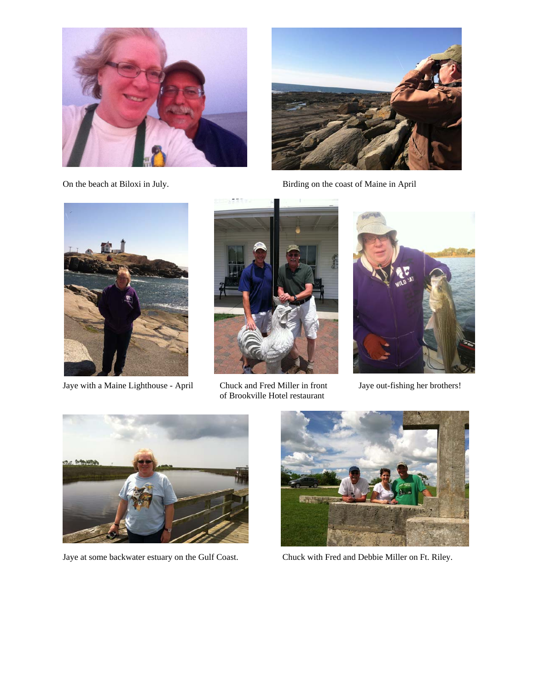



On the beach at Biloxi in July. Birding on the coast of Maine in April



Jaye with a Maine Lighthouse - April Chuck and Fred Miller in front Jaye out-fishing her brothers!



of Brookville Hotel restaurant







Jaye at some backwater estuary on the Gulf Coast. Chuck with Fred and Debbie Miller on Ft. Riley.